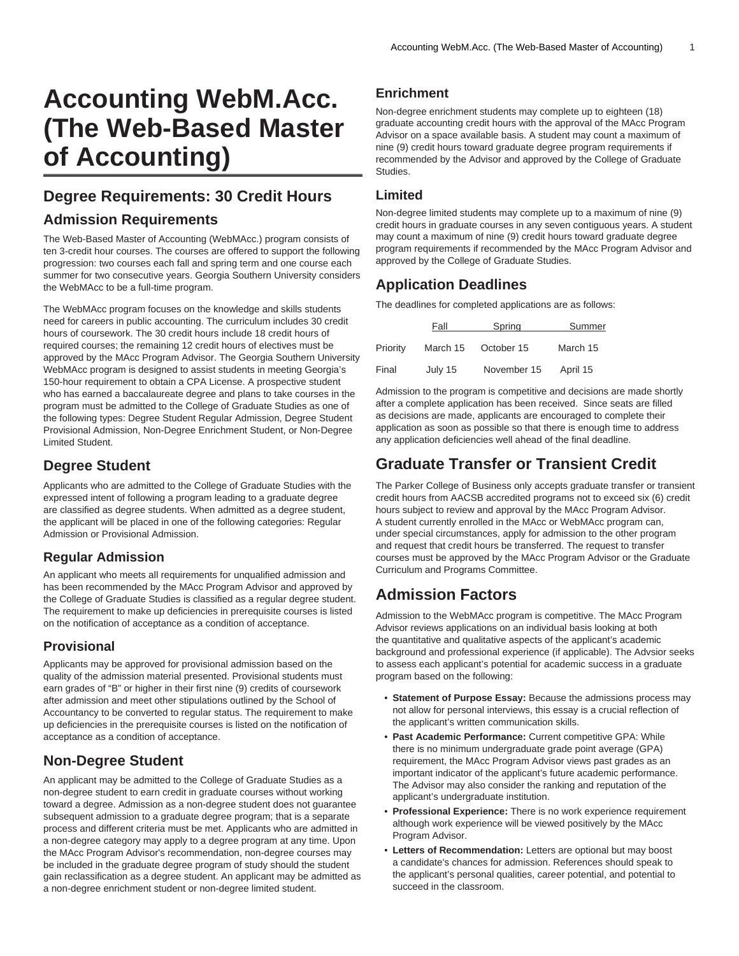# **Accounting WebM.Acc. (The Web-Based Master of Accounting)**

## **Degree Requirements: 30 Credit Hours**

#### **Admission Requirements**

The Web-Based Master of Accounting (WebMAcc.) program consists of ten 3-credit hour courses. The courses are offered to support the following progression: two courses each fall and spring term and one course each summer for two consecutive years. Georgia Southern University considers the WebMAcc to be a full-time program.

The WebMAcc program focuses on the knowledge and skills students need for careers in public accounting. The curriculum includes 30 credit hours of coursework. The 30 credit hours include 18 credit hours of required courses; the remaining 12 credit hours of electives must be approved by the MAcc Program Advisor. The Georgia Southern University WebMAcc program is designed to assist students in meeting Georgia's 150-hour requirement to obtain a CPA License. A prospective student who has earned a baccalaureate degree and plans to take courses in the program must be admitted to the College of Graduate Studies as one of the following types: Degree Student Regular Admission, Degree Student Provisional Admission, Non-Degree Enrichment Student, or Non-Degree Limited Student.

### **Degree Student**

Applicants who are admitted to the College of Graduate Studies with the expressed intent of following a program leading to a graduate degree are classified as degree students. When admitted as a degree student, the applicant will be placed in one of the following categories: Regular Admission or Provisional Admission.

#### **Regular Admission**

An applicant who meets all requirements for unqualified admission and has been recommended by the MAcc Program Advisor and approved by the College of Graduate Studies is classified as a regular degree student. The requirement to make up deficiencies in prerequisite courses is listed on the notification of acceptance as a condition of acceptance.

#### **Provisional**

Applicants may be approved for provisional admission based on the quality of the admission material presented. Provisional students must earn grades of "B" or higher in their first nine (9) credits of coursework after admission and meet other stipulations outlined by the School of Accountancy to be converted to regular status. The requirement to make up deficiencies in the prerequisite courses is listed on the notification of acceptance as a condition of acceptance.

## **Non-Degree Student**

An applicant may be admitted to the College of Graduate Studies as a non-degree student to earn credit in graduate courses without working toward a degree. Admission as a non-degree student does not guarantee subsequent admission to a graduate degree program; that is a separate process and different criteria must be met. Applicants who are admitted in a non-degree category may apply to a degree program at any time. Upon the MAcc Program Advisor's recommendation, non-degree courses may be included in the graduate degree program of study should the student gain reclassification as a degree student. An applicant may be admitted as a non-degree enrichment student or non-degree limited student.

#### **Enrichment**

Non-degree enrichment students may complete up to eighteen (18) graduate accounting credit hours with the approval of the MAcc Program Advisor on a space available basis. A student may count a maximum of nine (9) credit hours toward graduate degree program requirements if recommended by the Advisor and approved by the College of Graduate **Studies** 

#### **Limited**

Non-degree limited students may complete up to a maximum of nine (9) credit hours in graduate courses in any seven contiguous years. A student may count a maximum of nine (9) credit hours toward graduate degree program requirements if recommended by the MAcc Program Advisor and approved by the College of Graduate Studies.

## **Application Deadlines**

The deadlines for completed applications are as follows:

|          | Fall     | Spring      | Summer   |
|----------|----------|-------------|----------|
| Priority | March 15 | October 15  | March 15 |
| Final    | July 15  | November 15 | April 15 |

Admission to the program is competitive and decisions are made shortly after a complete application has been received. Since seats are filled as decisions are made, applicants are encouraged to complete their application as soon as possible so that there is enough time to address any application deficiencies well ahead of the final deadline.

# **Graduate Transfer or Transient Credit**

The Parker College of Business only accepts graduate transfer or transient credit hours from AACSB accredited programs not to exceed six (6) credit hours subject to review and approval by the MAcc Program Advisor. A student currently enrolled in the MAcc or WebMAcc program can, under special circumstances, apply for admission to the other program and request that credit hours be transferred. The request to transfer courses must be approved by the MAcc Program Advisor or the Graduate Curriculum and Programs Committee.

# **Admission Factors**

Admission to the WebMAcc program is competitive. The MAcc Program Advisor reviews applications on an individual basis looking at both the quantitative and qualitative aspects of the applicant's academic background and professional experience (if applicable). The Advsior seeks to assess each applicant's potential for academic success in a graduate program based on the following:

- **Statement of Purpose Essay:** Because the admissions process may not allow for personal interviews, this essay is a crucial reflection of the applicant's written communication skills.
- **Past Academic Performance:** Current competitive GPA: While there is no minimum undergraduate grade point average (GPA) requirement, the MAcc Program Advisor views past grades as an important indicator of the applicant's future academic performance. The Advisor may also consider the ranking and reputation of the applicant's undergraduate institution.
- **Professional Experience:** There is no work experience requirement although work experience will be viewed positively by the MAcc Program Advisor.
- **Letters of Recommendation:** Letters are optional but may boost a candidate's chances for admission. References should speak to the applicant's personal qualities, career potential, and potential to succeed in the classroom.